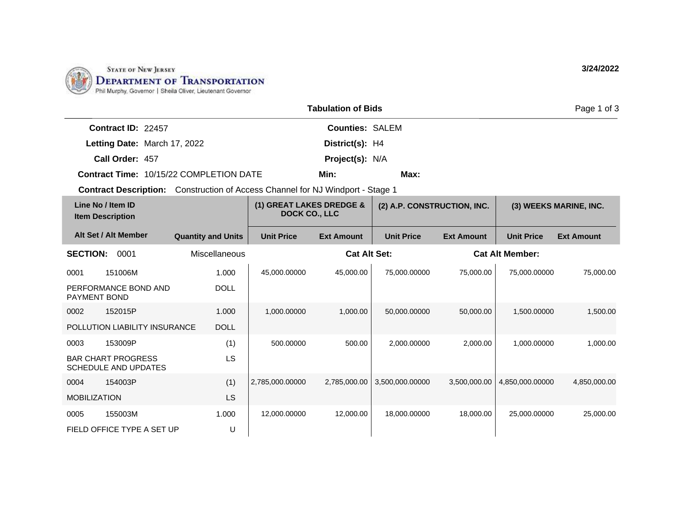

|                                                                                       |                           |                      |                                                  | <b>Tabulation of Bids</b> |                             |                   |                        | Page 1 of 3            |
|---------------------------------------------------------------------------------------|---------------------------|----------------------|--------------------------------------------------|---------------------------|-----------------------------|-------------------|------------------------|------------------------|
| Contract ID: 22457                                                                    |                           |                      |                                                  | <b>Counties: SALEM</b>    |                             |                   |                        |                        |
| Letting Date: March 17, 2022                                                          |                           |                      |                                                  | District(s): H4           |                             |                   |                        |                        |
| Call Order: 457                                                                       |                           |                      |                                                  | Project(s): N/A           |                             |                   |                        |                        |
| Contract Time: 10/15/22 COMPLETION DATE                                               |                           |                      |                                                  | Min:                      | Max:                        |                   |                        |                        |
| <b>Contract Description:</b> Construction of Access Channel for NJ Windport - Stage 1 |                           |                      |                                                  |                           |                             |                   |                        |                        |
| Line No / Item ID<br><b>Item Description</b>                                          |                           |                      | (1) GREAT LAKES DREDGE &<br><b>DOCK CO., LLC</b> |                           | (2) A.P. CONSTRUCTION, INC. |                   |                        | (3) WEEKS MARINE, INC. |
| Alt Set / Alt Member                                                                  | <b>Quantity and Units</b> |                      | <b>Unit Price</b>                                | <b>Ext Amount</b>         | <b>Unit Price</b>           | <b>Ext Amount</b> | <b>Unit Price</b>      | <b>Ext Amount</b>      |
| <b>SECTION:</b><br>0001                                                               |                           | <b>Miscellaneous</b> |                                                  | <b>Cat Alt Set:</b>       |                             |                   | <b>Cat Alt Member:</b> |                        |
| 151006M<br>0001                                                                       |                           | 1.000                | 45,000.00000                                     | 45,000.00                 | 75,000.00000                | 75,000.00         | 75,000.00000           | 75,000.00              |
| PERFORMANCE BOND AND<br><b>PAYMENT BOND</b>                                           |                           | <b>DOLL</b>          |                                                  |                           |                             |                   |                        |                        |
| 152015P<br>0002                                                                       |                           | 1.000                | 1,000.00000                                      | 1,000.00                  | 50,000.00000                | 50.000.00         | 1,500.00000            | 1,500.00               |
| POLLUTION LIABILITY INSURANCE                                                         |                           | <b>DOLL</b>          |                                                  |                           |                             |                   |                        |                        |
| 153009P<br>0003                                                                       |                           | (1)                  | 500.00000                                        | 500.00                    | 2,000.00000                 | 2.000.00          | 1,000.00000            | 1,000.00               |
| <b>BAR CHART PROGRESS</b><br><b>SCHEDULE AND UPDATES</b>                              |                           | LS                   |                                                  |                           |                             |                   |                        |                        |
| 154003P<br>0004                                                                       |                           | (1)                  | 2,785,000.00000                                  | 2,785,000.00              | 3,500,000.00000             | 3,500,000.00      | 4,850,000.00000        | 4,850,000.00           |
| <b>MOBILIZATION</b>                                                                   |                           | <b>LS</b>            |                                                  |                           |                             |                   |                        |                        |
| 155003M<br>0005                                                                       |                           | 1.000                | 12,000.00000                                     | 12,000.00                 | 18,000.00000                | 18,000.00         | 25,000.00000           | 25,000.00              |
| FIELD OFFICE TYPE A SET UP                                                            |                           | U                    |                                                  |                           |                             |                   |                        |                        |

**3/24/2022**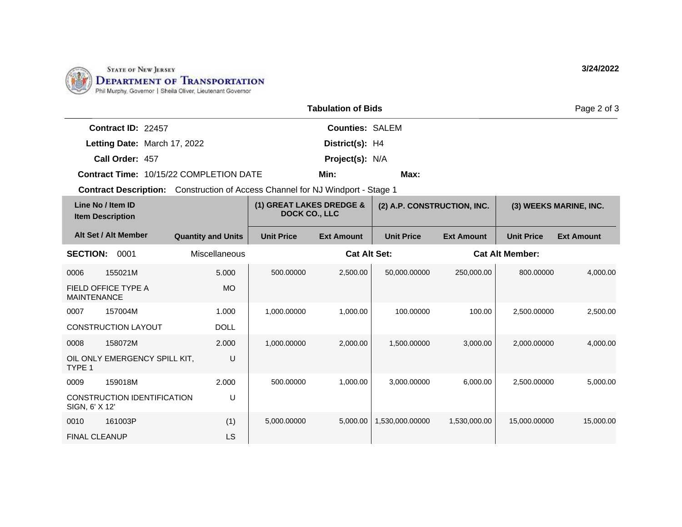

FINAL CLEANUP

LS

|                                                                                       |                           |                                                  | <b>Tabulation of Bids</b> |                             |                   |                        | Page 2 of 3            |
|---------------------------------------------------------------------------------------|---------------------------|--------------------------------------------------|---------------------------|-----------------------------|-------------------|------------------------|------------------------|
| Contract ID: 22457                                                                    |                           |                                                  | <b>Counties: SALEM</b>    |                             |                   |                        |                        |
| Letting Date: March 17, 2022                                                          |                           |                                                  | District(s): H4           |                             |                   |                        |                        |
| Call Order: 457                                                                       |                           |                                                  | Project(s): N/A           |                             |                   |                        |                        |
| Contract Time: 10/15/22 COMPLETION DATE                                               |                           |                                                  | Min:                      | Max:                        |                   |                        |                        |
| <b>Contract Description:</b> Construction of Access Channel for NJ Windport - Stage 1 |                           |                                                  |                           |                             |                   |                        |                        |
| Line No / Item ID<br><b>Item Description</b>                                          |                           | (1) GREAT LAKES DREDGE &<br><b>DOCK CO., LLC</b> |                           | (2) A.P. CONSTRUCTION, INC. |                   |                        | (3) WEEKS MARINE, INC. |
| Alt Set / Alt Member                                                                  | <b>Quantity and Units</b> | <b>Unit Price</b>                                | <b>Ext Amount</b>         | <b>Unit Price</b>           | <b>Ext Amount</b> | <b>Unit Price</b>      | <b>Ext Amount</b>      |
| <b>SECTION:</b><br>0001                                                               | Miscellaneous             |                                                  | <b>Cat Alt Set:</b>       |                             |                   | <b>Cat Alt Member:</b> |                        |
| 155021M<br>0006                                                                       | 5.000                     | 500.00000                                        | 2,500.00                  | 50,000.00000                | 250,000.00        | 800.00000              | 4,000.00               |
| FIELD OFFICE TYPE A<br><b>MAINTENANCE</b>                                             | <b>MO</b>                 |                                                  |                           |                             |                   |                        |                        |
| 157004M<br>0007                                                                       | 1.000                     | 1,000.00000                                      | 1,000.00                  | 100.00000                   | 100.00            | 2,500.00000            | 2,500.00               |
| <b>CONSTRUCTION LAYOUT</b>                                                            | <b>DOLL</b>               |                                                  |                           |                             |                   |                        |                        |
| 158072M<br>0008                                                                       | 2.000                     | 1,000.00000                                      | 2,000.00                  | 1,500.00000                 | 3,000.00          | 2,000.00000            | 4,000.00               |
| OIL ONLY EMERGENCY SPILL KIT,<br>TYPE 1                                               | U                         |                                                  |                           |                             |                   |                        |                        |
| 159018M<br>0009                                                                       | 2.000                     | 500.00000                                        | 1,000.00                  | 3,000.00000                 | 6,000.00          | 2,500.00000            | 5,000.00               |
| CONSTRUCTION IDENTIFICATION<br>SIGN, 6' X 12'                                         | U                         |                                                  |                           |                             |                   |                        |                        |
| 161003P<br>0010                                                                       | (1)                       | 5,000.00000                                      | 5,000.00                  | 1,530,000.00000             | 1,530,000.00      | 15,000.00000           | 15,000.00              |

**3/24/2022**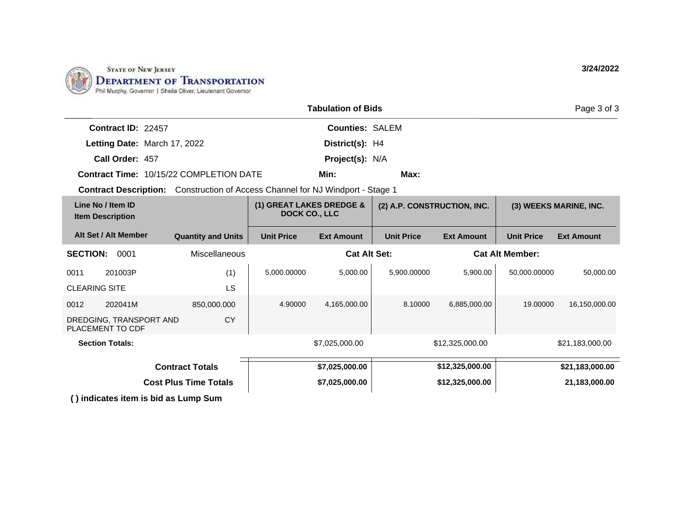

|                                                                                       |                              |                                                  | <b>Tabulation of Bids</b> |                                               |                             |                   | Page 3 of 3            |
|---------------------------------------------------------------------------------------|------------------------------|--------------------------------------------------|---------------------------|-----------------------------------------------|-----------------------------|-------------------|------------------------|
| Contract ID: 22457                                                                    |                              |                                                  | <b>Counties: SALEM</b>    |                                               |                             |                   |                        |
| Letting Date: March 17, 2022                                                          |                              |                                                  | District(s): H4           |                                               |                             |                   |                        |
| Call Order: 457                                                                       |                              |                                                  | Project(s): N/A           |                                               |                             |                   |                        |
| Contract Time: 10/15/22 COMPLETION DATE                                               |                              |                                                  | Min:                      | Max:                                          |                             |                   |                        |
| <b>Contract Description:</b> Construction of Access Channel for NJ Windport - Stage 1 |                              |                                                  |                           |                                               |                             |                   |                        |
| Line No / Item ID<br><b>Item Description</b>                                          |                              | (1) GREAT LAKES DREDGE &<br><b>DOCK CO., LLC</b> |                           |                                               | (2) A.P. CONSTRUCTION, INC. |                   | (3) WEEKS MARINE, INC. |
| Alt Set / Alt Member                                                                  | <b>Quantity and Units</b>    | <b>Unit Price</b>                                | <b>Ext Amount</b>         | <b>Unit Price</b>                             | <b>Ext Amount</b>           | <b>Unit Price</b> | <b>Ext Amount</b>      |
| <b>SECTION:</b><br>0001                                                               | Miscellaneous                |                                                  |                           | <b>Cat Alt Set:</b><br><b>Cat Alt Member:</b> |                             |                   |                        |
| 201003P<br>0011                                                                       | (1)                          | 5,000.00000                                      | 5,000.00                  | 5,900.00000                                   | 5,900.00                    | 50,000.00000      | 50,000.00              |
| <b>CLEARING SITE</b>                                                                  | LS                           |                                                  |                           |                                               |                             |                   |                        |
| 202041M<br>0012                                                                       | 850,000.000                  | 4.90000                                          | 4,165,000.00              | 8.10000                                       | 6,885,000.00                | 19.00000          | 16,150,000.00          |
| DREDGING, TRANSPORT AND<br>PLACEMENT TO CDF                                           | <b>CY</b>                    |                                                  |                           |                                               |                             |                   |                        |
| <b>Section Totals:</b>                                                                |                              |                                                  | \$7,025,000.00            |                                               | \$12,325,000.00             |                   | \$21,183,000.00        |
|                                                                                       | <b>Contract Totals</b>       |                                                  | \$7,025,000.00            |                                               | \$12,325,000.00             |                   | \$21,183,000.00        |
|                                                                                       | <b>Cost Plus Time Totals</b> |                                                  | \$7,025,000.00            |                                               | \$12,325,000.00             |                   | 21,183,000.00          |
| () indicates item is bid as Lump Sum                                                  |                              |                                                  |                           |                                               |                             |                   |                        |